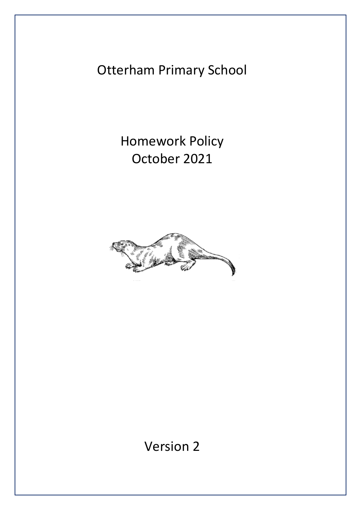Otterham Primary School

Homework Policy October 2021



Version 2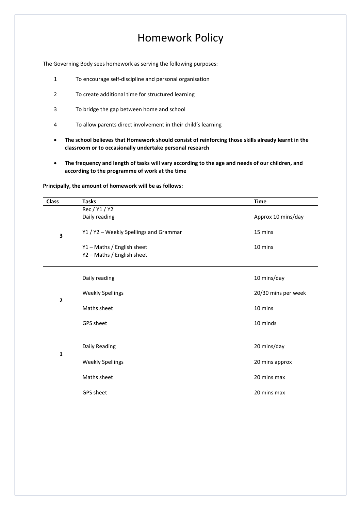## Homework Policy

The Governing Body sees homework as serving the following purposes:

- 1 To encourage self-discipline and personal organisation
- 2 To create additional time for structured learning
- 3 To bridge the gap between home and school
- 4 To allow parents direct involvement in their child's learning
- **The school believes that Homework should consist of reinforcing those skills already learnt in the classroom or to occasionally undertake personal research**
- **The frequency and length of tasks will vary according to the age and needs of our children, and according to the programme of work at the time**

| <b>Class</b> | <b>Tasks</b>                                             | <b>Time</b>         |
|--------------|----------------------------------------------------------|---------------------|
| 3            | Rec / Y1 / Y2<br>Daily reading                           | Approx 10 mins/day  |
|              | Y1 / Y2 - Weekly Spellings and Grammar                   | 15 mins             |
|              | Y1 - Maths / English sheet<br>Y2 - Maths / English sheet | 10 mins             |
| $\mathbf{2}$ | Daily reading                                            | 10 mins/day         |
|              | <b>Weekly Spellings</b>                                  | 20/30 mins per week |
|              | Maths sheet                                              | 10 mins             |
|              | GPS sheet                                                | 10 minds            |
| $\mathbf{1}$ | Daily Reading                                            | 20 mins/day         |
|              | <b>Weekly Spellings</b>                                  | 20 mins approx      |
|              | Maths sheet                                              | 20 mins max         |
|              | GPS sheet                                                | 20 mins max         |

**Principally, the amount of homework will be as follows:**